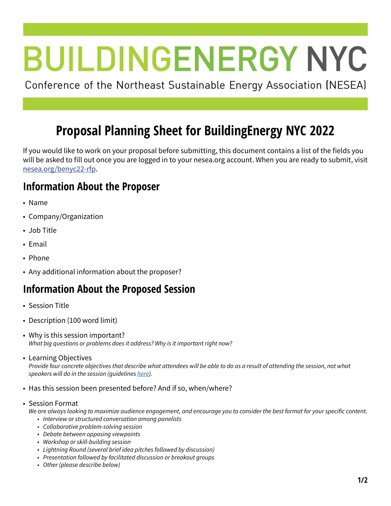# **BUILDINGENERGY NYC**

Conference of the Northeast Sustainable Energy Association (NESEA)

# **Proposal Planning Sheet for BuildingEnergy NYC 2022**

If you would like to work on your proposal before submitting, this document contains a list of the fields you will be asked to fill out once you are logged in to your nesea.org account. When you are ready to submit, visit [nesea.org/benyc22-rfp.](http://nesea.org/benyc22-rfp)

## **Information About the Proposer**

- Name
- Company/Organization
- Job Title
- Email
- Phone
- Any additional information about the proposer?

### **Information About the Proposed Session**

- Session Title
- Description (100 word limit)
- Why is this session important? *What big questions or problems does it address? Why is it important right now?*
- Learning Objectives

*Provide four concrete objectives that describe what attendees will be able to do as a result of attending the session, not what speakers will do in the session (guidelines [here](https://drive.google.com/file/d/1YMZy9eGo6RVbLWy8doq5556kGSIN2w34/view)).*

- Has this session been presented before? And if so, when/where?
- Session Format

We are always looking to maximize audience engagement, and encourage you to consider the best format for your specific content.

- *• Interview or structured conversation among panelists*
- *• Collaborative problem-solving session*
- *• Debate between opposing viewpoints*
- *• Workshop or skill-building session*
- *• Lightning Round (several brief idea pitches followed by discussion)*
- *• Presentation followed by facilitated discussion or breakout groups*
- *• Other (please describe below)*